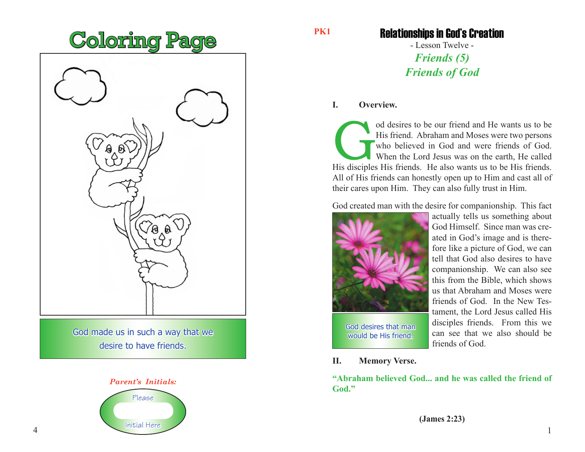

God made us in such a way that we desire to have friends.

## *Parent's Initials:* Please



### **PK1**

## Relationships in God's Creation

- Lesson Twelve - *Friends (5) Friends of God*

### **I. Overview.**

od desires to be our friend and He wants us to be<br>His friend. Abraham and Moses were two persons<br>who believed in God and were friends of God.<br>When the Lord Jesus was on the earth, He called<br>His disciples His friends. He al His friend. Abraham and Moses were two persons who believed in God and were friends of God. When the Lord Jesus was on the earth, He called His disciples His friends. He also wants us to be His friends. All of His friends can honestly open up to Him and cast all of their cares upon Him. They can also fully trust in Him.

God created man with the desire for companionship. This fact



God desires that man would be His friend.

actually tells us something about God Himself. Since man was created in God's image and is therefore like a picture of God, we can tell that God also desires to have companionship. We can also see this from the Bible, which shows us that Abraham and Moses were friends of God. In the New Testament, the Lord Jesus called His disciples friends. From this we can see that we also should be friends of God.

**II. Memory Verse.**

**"Abraham believed God... and he was called the friend of God."**